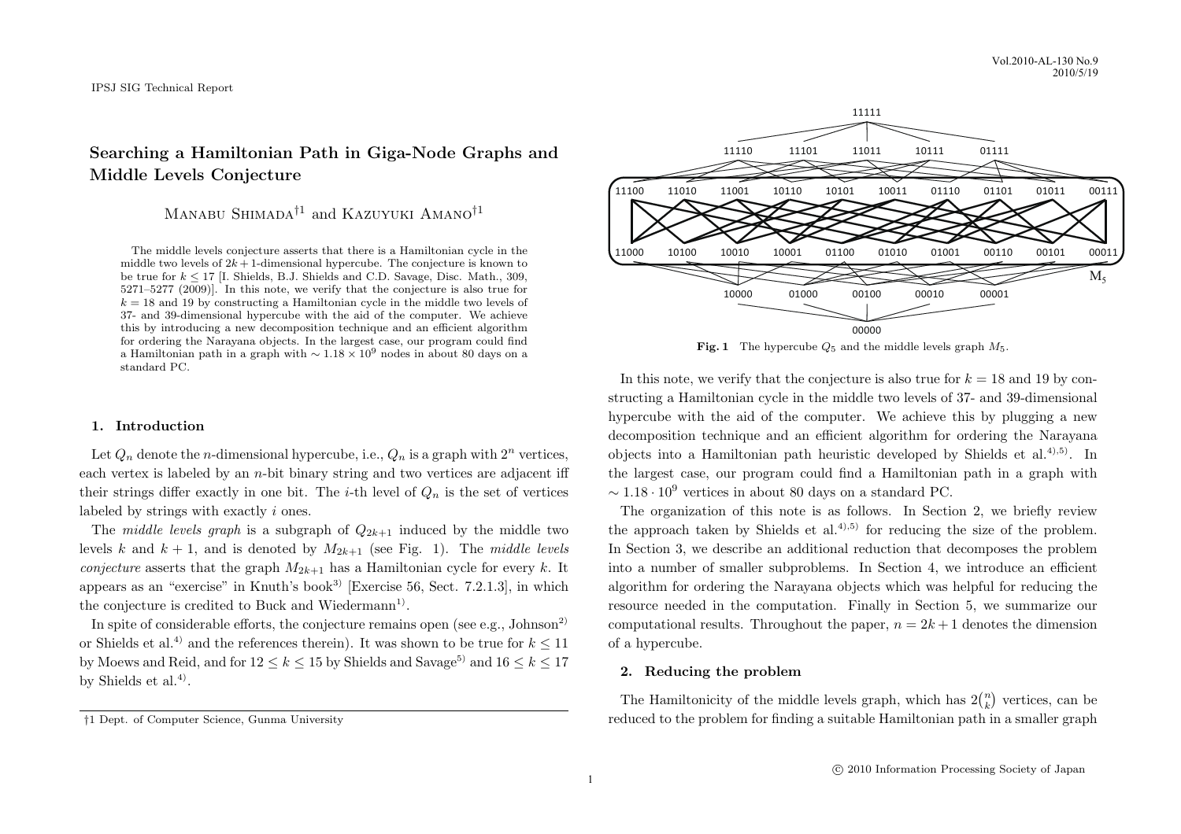# **Searching a Hamiltonian Path in Giga-Node Graphs and Middle Levels Conjecture**

Manabu Shimada*†*<sup>1</sup> and Kazuyuki Amano*†*<sup>1</sup>

The middle levels conjecture asserts that there is a Hamiltonian cycle in the middle two levels of  $2k+1$ -dimensional hypercube. The conjecture is known to be true for *k ≤* 17 [I. Shields, B.J. Shields and C.D. Savage, Disc. Math., 309, 5271–5277 (2009)]. In this note, we verify that the conjecture is also true for  $k = 18$  and 19 by constructing a Hamiltonian cycle in the middle two levels of 37- and 39-dimensional hypercube with the aid of the computer. We achieve this by introducing a new decomposition technique and an efficient algorithm for ordering the Narayana objects. In the largest case, our program could find a Hamiltonian path in a graph with *<sup>∼</sup>* <sup>1</sup>*.*<sup>18</sup> *<sup>×</sup>* <sup>10</sup><sup>9</sup> nodes in about 80 days on a standard PC.

## **1. Introduction**

Let  $Q_n$  denote the *n*-dimensional hypercube, i.e.,  $Q_n$  is a graph with  $2^n$  vertices, each vertex is labeled by an *n*-bit binary string and two vertices are adjacent iff their strings differ exactly in one bit. The *i*-th level of  $Q_n$  is the set of vertices labeled by strings with exactly *i* ones.

The *middle levels graph* is a subgraph of  $Q_{2k+1}$  induced by the middle two levels *k* and  $k + 1$ , and is denoted by  $M_{2k+1}$  (see Fig. 1). The *middle levels conjecture* asserts that the graph  $M_{2k+1}$  has a Hamiltonian cycle for every *k*. It appears as an "exercise" in Knuth's book<sup>3)</sup> [Exercise 56, Sect. 7.2.1.3], in which the conjecture is credited to Buck and Wiedermann<sup>1)</sup>.

In spite of considerable efforts, the conjecture remains open (see e.g., Johnson<sup>2)</sup> or Shields et al.<sup>4)</sup> and the references therein). It was shown to be true for  $k \leq 11$ by Moews and Reid, and for  $12 \leq k \leq 15$  by Shields and Savage<sup>5)</sup> and  $16 \leq k \leq 17$ by Shields et al.<sup>4)</sup>.



**Fig. 1** The hypercube  $Q_5$  and the middle levels graph  $M_5$ .

In this note, we verify that the conjecture is also true for  $k = 18$  and 19 by constructing a Hamiltonian cycle in the middle two levels of 37- and 39-dimensional hypercube with the aid of the computer. We achieve this by plugging a new decomposition technique and an efficient algorithm for ordering the Narayana objects into a Hamiltonian path heuristic developed by Shields et al.<sup>4),5)</sup>. In the largest case, our program could find a Hamiltonian path in a graph with *∼* 1*.*18 *·* 10<sup>9</sup> vertices in about 80 days on a standard PC.

The organization of this note is as follows. In Section 2, we briefly review the approach taken by Shields et al.<sup>4),5)</sup> for reducing the size of the problem. In Section 3, we describe an additional reduction that decomposes the problem into a number of smaller subproblems. In Section 4, we introduce an efficient algorithm for ordering the Narayana objects which was helpful for reducing the resource needed in the computation. Finally in Section 5, we summarize our computational results. Throughout the paper,  $n = 2k + 1$  denotes the dimension of a hypercube.

## **2. Reducing the problem**

The Hamiltonicity of the middle levels graph, which has  $2\binom{n}{k}$  vertices, can be reduced to the problem for finding a suitable Hamiltonian path in a smaller graph

*<sup>†</sup>*1 Dept. of Computer Science, Gunma University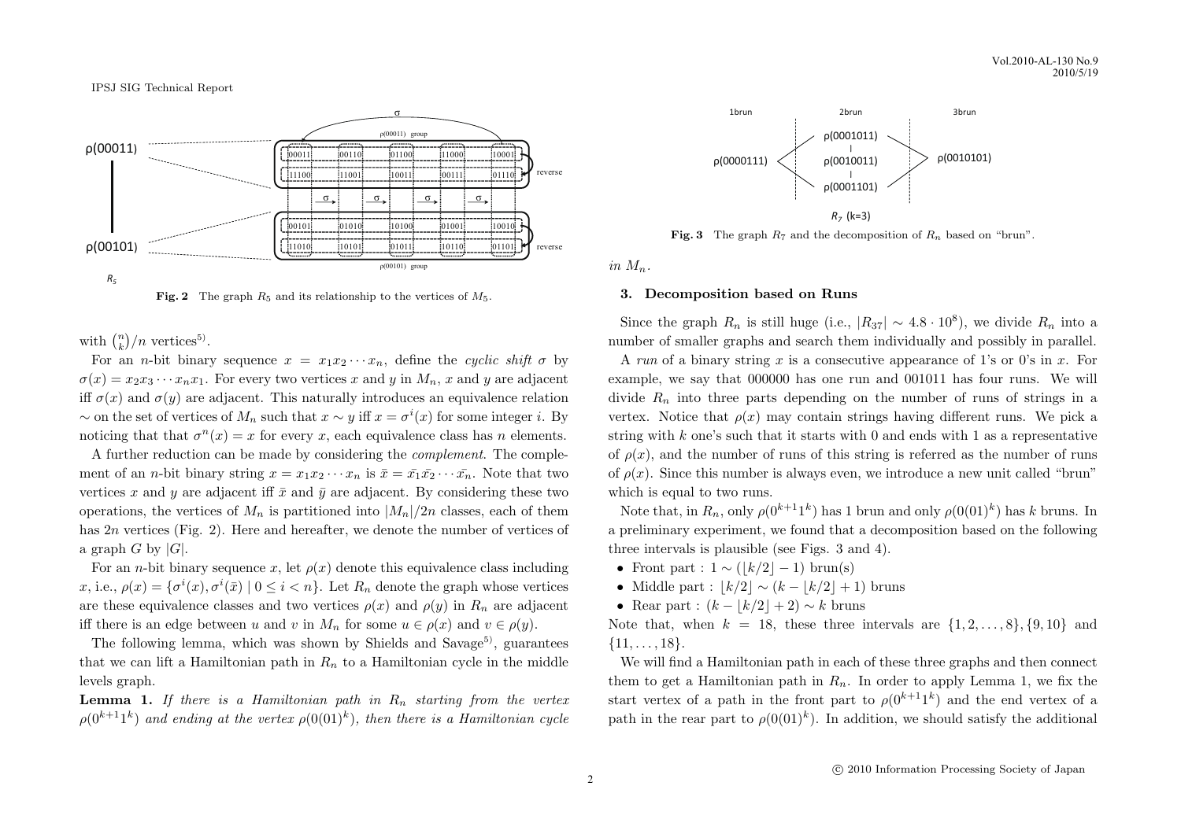

**Fig. 2** The graph  $R_5$  and its relationship to the vertices of  $M_5$ .

with  $\binom{n}{k}/n$  vertices<sup>5)</sup>.

For an *n*-bit binary sequence  $x = x_1x_2 \cdots x_n$ , define the *cyclic shift*  $\sigma$  by  $\sigma(x) = x_2 x_3 \cdots x_n x_1$ . For every two vertices *x* and *y* in  $M_n$ , *x* and *y* are adjacent iff  $\sigma(x)$  and  $\sigma(y)$  are adjacent. This naturally introduces an equivalence relation  $∼$  on the set of vertices of  $M_n$  such that  $x ∼ y$  iff  $x = σ<sup>i</sup>(x)$  for some integer *i*. By noticing that that  $\sigma^n(x) = x$  for every *x*, each equivalence class has *n* elements.

A further reduction can be made by considering the *complement*. The complement of an *n*-bit binary string  $x = x_1 x_2 \cdots x_n$  is  $\bar{x} = \bar{x_1} \bar{x_2} \cdots \bar{x_n}$ . Note that two vertices x and y are adjacent iff  $\bar{x}$  and  $\bar{y}$  are adjacent. By considering these two operations, the vertices of  $M_n$  is partitioned into  $|M_n|/2n$  classes, each of them has 2*n* vertices (Fig. 2). Here and hereafter, we denote the number of vertices of a graph *G* by  $|G|$ .

For an *n*-bit binary sequence *x*, let  $\rho(x)$  denote this equivalence class including *x*, i.e.,  $\rho(x) = {\sigma^i(x), \sigma^i(\bar{x}) \mid 0 \le i < n}$ . Let  $R_n$  denote the graph whose vertices are these equivalence classes and two vertices  $\rho(x)$  and  $\rho(y)$  in  $R_n$  are adjacent iff there is an edge between *u* and *v* in  $M_n$  for some  $u \in \rho(x)$  and  $v \in \rho(y)$ .

The following lemma, which was shown by Shields and Savage<sup>5)</sup>, guarantees that we can lift a Hamiltonian path in  $R_n$  to a Hamiltonian cycle in the middle levels graph.

**Lemma 1.** *If there is a Hamiltonian path in R<sup>n</sup> starting from the vertex*  $\rho(0^{k+1}1^k)$  and ending at the vertex  $\rho(0(01)^k)$ 



**Fig. 3** The graph  $R_7$  and the decomposition of  $R_n$  based on "brun".

 $in$   $M_n$ .

#### **3. Decomposition based on Runs**

Since the graph  $R_n$  is still huge (i.e.,  $|R_{37}| \sim 4.8 \cdot 10^8$ ), we divide  $R_n$  into a number of smaller graphs and search them individually and possibly in parallel.

A *run* of a binary string *x* is a consecutive appearance of 1's or 0's in *x*. For example, we say that 000000 has one run and 001011 has four runs. We will divide  $R_n$  into three parts depending on the number of runs of strings in a vertex. Notice that  $\rho(x)$  may contain strings having different runs. We pick a string with *k* one's such that it starts with 0 and ends with 1 as a representative of  $\rho(x)$ , and the number of runs of this string is referred as the number of runs of  $\rho(x)$ . Since this number is always even, we introduce a new unit called "brun" which is equal to two runs.

Note that, in  $R_n$ , only  $\rho(0^{k+1}1^k)$  has 1 brun and only  $\rho(0(01)^k)$  has *k* bruns. In a preliminary experiment, we found that a decomposition based on the following three intervals is plausible (see Figs. 3 and 4).

- *•* Front part : 1 *∼* (*⌊k/*2*⌋ −* 1) brun(s)
- Middle part :  $|k/2| \sim (k |k/2| + 1)$  bruns
- Rear part :  $(k |k/2| + 2) \sim k$  bruns

Note that, when  $k = 18$ , these three intervals are  $\{1, 2, \ldots, 8\}$ ,  $\{9, 10\}$  and *{*11*, . . . ,* 18*}*.

We will find a Hamiltonian path in each of these three graphs and then connect them to get a Hamiltonian path in  $R_n$ . In order to apply Lemma 1, we fix the start vertex of a path in the front part to  $\rho(0^{k+1}1^k)$  and the end vertex of a path in the rear part to  $\rho(0(01)^k)$ . In addition, we should satisfy the additional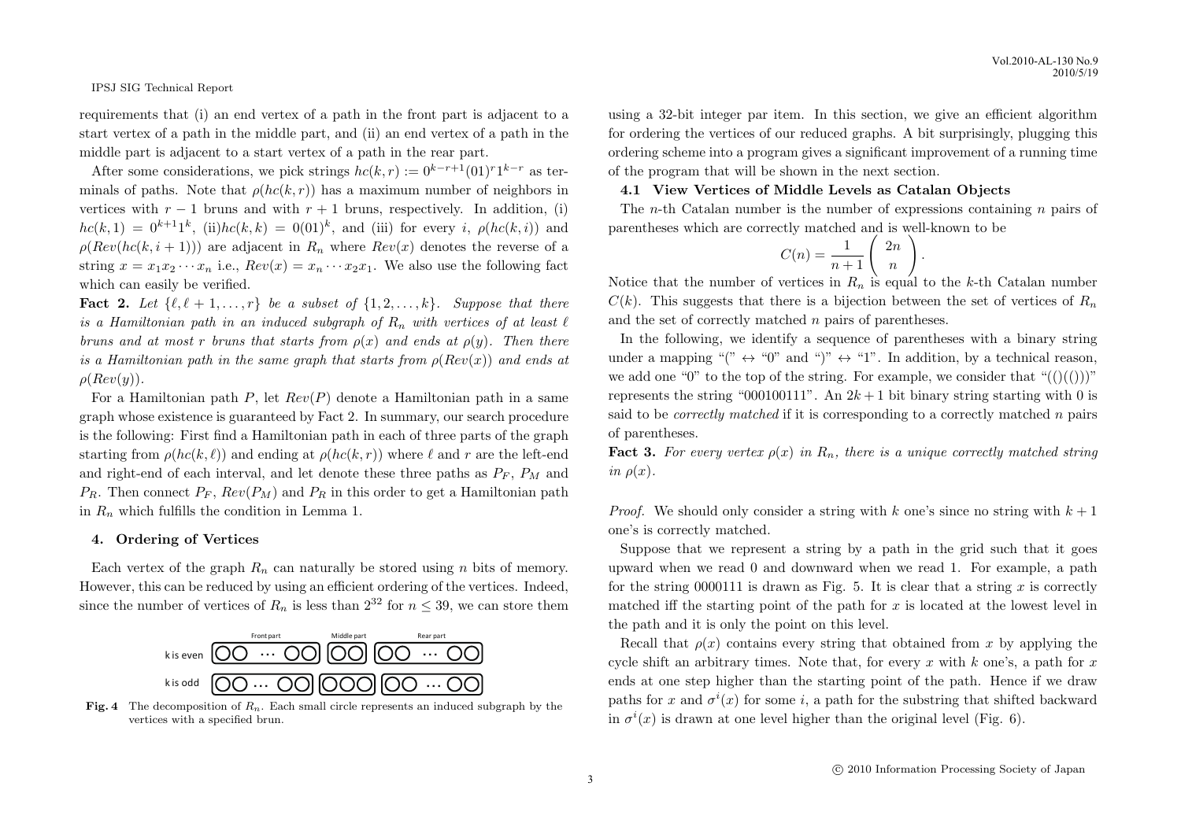requirements that (i) an end vertex of a path in the front part is adjacent to a start vertex of a path in the middle part, and (ii) an end vertex of a path in the middle part is adjacent to a start vertex of a path in the rear part.

After some considerations, we pick strings  $hc(k, r) := 0^{k-r+1}(01)^{r}1^{k-r}$  as terminals of paths. Note that  $\rho(hc(k,r))$  has a maximum number of neighbors in vertices with  $r - 1$  bruns and with  $r + 1$  bruns, respectively. In addition, (i)  $hc(k, 1) = 0^{k+1}1^k$ , (ii) $hc(k, k) = 0(01)^k$ , and (iii) for every *i*,  $\rho(hc(k, i))$  and  $\rho(Rev(hc(k, i + 1)))$  are adjacent in  $R_n$  where  $Rev(x)$  denotes the reverse of a string  $x = x_1 x_2 \cdots x_n$  i.e.,  $Rev(x) = x_n \cdots x_2 x_1$ . We also use the following fact which can easily be verified.

**Fact 2.** Let  $\{\ell, \ell+1, \ldots, r\}$  be a subset of  $\{1, 2, \ldots, k\}$ . Suppose that there *is a Hamiltonian path in an induced subgraph of*  $R_n$  *with vertices of at least*  $\ell$ *bruns and at most r bruns that starts from*  $\rho(x)$  *and ends at*  $\rho(y)$ *. Then there is a Hamiltonian path in the same graph that starts from*  $\rho(Rev(x))$  *and ends at ρ*(*Rev*(*y*))*.*

For a Hamiltonian path *P*, let *Rev*(*P*) denote a Hamiltonian path in a same graph whose existence is guaranteed by Fact 2. In summary, our search procedure is the following: First find a Hamiltonian path in each of three parts of the graph starting from  $\rho(hc(k, \ell))$  and ending at  $\rho(hc(k, r))$  where  $\ell$  and  $r$  are the left-end and right-end of each interval, and let denote these three paths as  $P_F$ ,  $P_M$  and  $P_R$ . Then connect  $P_F$ ,  $Rev(P_M)$  and  $P_R$  in this order to get a Hamiltonian path in  $R_n$  which fulfills the condition in Lemma 1.

## **4. Ordering of Vertices**

Each vertex of the graph  $R_n$  can naturally be stored using *n* bits of memory. However, this can be reduced by using an efficient ordering of the vertices. Indeed, since the number of vertices of  $R_n$  is less than  $2^{32}$  for  $n \leq 39$ , we can store them



Fig. 4 The decomposition of  $R_n$ . Each small circle represents an induced subgraph by the vertices with a specified brun.

using a 32-bit integer par item. In this section, we give an efficient algorithm for ordering the vertices of our reduced graphs. A bit surprisingly, plugging this ordering scheme into a program gives a significant improvement of a running time of the program that will be shown in the next section.

#### **4.1 View Vertices of Middle Levels as Catalan Objects**

The *n*-th Catalan number is the number of expressions containing *n* pairs of parentheses which are correctly matched and is well-known to be

*.*

$$
C(n) = \frac{1}{n+1} \left( \begin{array}{c} 2n \\ n \end{array} \right)
$$

Notice that the number of vertices in  $R_n$  is equal to the *k*-th Catalan number  $C(k)$ . This suggests that there is a bijection between the set of vertices of  $R_n$ and the set of correctly matched *n* pairs of parentheses.

In the following, we identify a sequence of parentheses with a binary string under a mapping " $($ "  $\leftrightarrow$  "0" and " $)$ "  $\leftrightarrow$  "1". In addition, by a technical reason, we add one "0" to the top of the string. For example, we consider that " $(()())$ " represents the string "000100111". An  $2k + 1$  bit binary string starting with 0 is said to be *correctly matched* if it is corresponding to a correctly matched *n* pairs of parentheses.

**Fact 3.** For every vertex  $\rho(x)$  in  $R_n$ , there is a unique correctly matched string  $in \rho(x)$ .

*Proof.* We should only consider a string with *k* one's since no string with  $k+1$ one's is correctly matched.

Suppose that we represent a string by a path in the grid such that it goes upward when we read 0 and downward when we read 1. For example, a path for the string  $0000111$  is drawn as Fig. 5. It is clear that a string x is correctly matched iff the starting point of the path for *x* is located at the lowest level in the path and it is only the point on this level.

Recall that  $\rho(x)$  contains every string that obtained from x by applying the cycle shift an arbitrary times. Note that, for every *x* with *k* one's, a path for *x* ends at one step higher than the starting point of the path. Hence if we draw paths for *x* and  $\sigma^{i}(x)$  for some *i*, a path for the substring that shifted backward in  $\sigma^i(x)$  is drawn at one level higher than the original level (Fig. 6).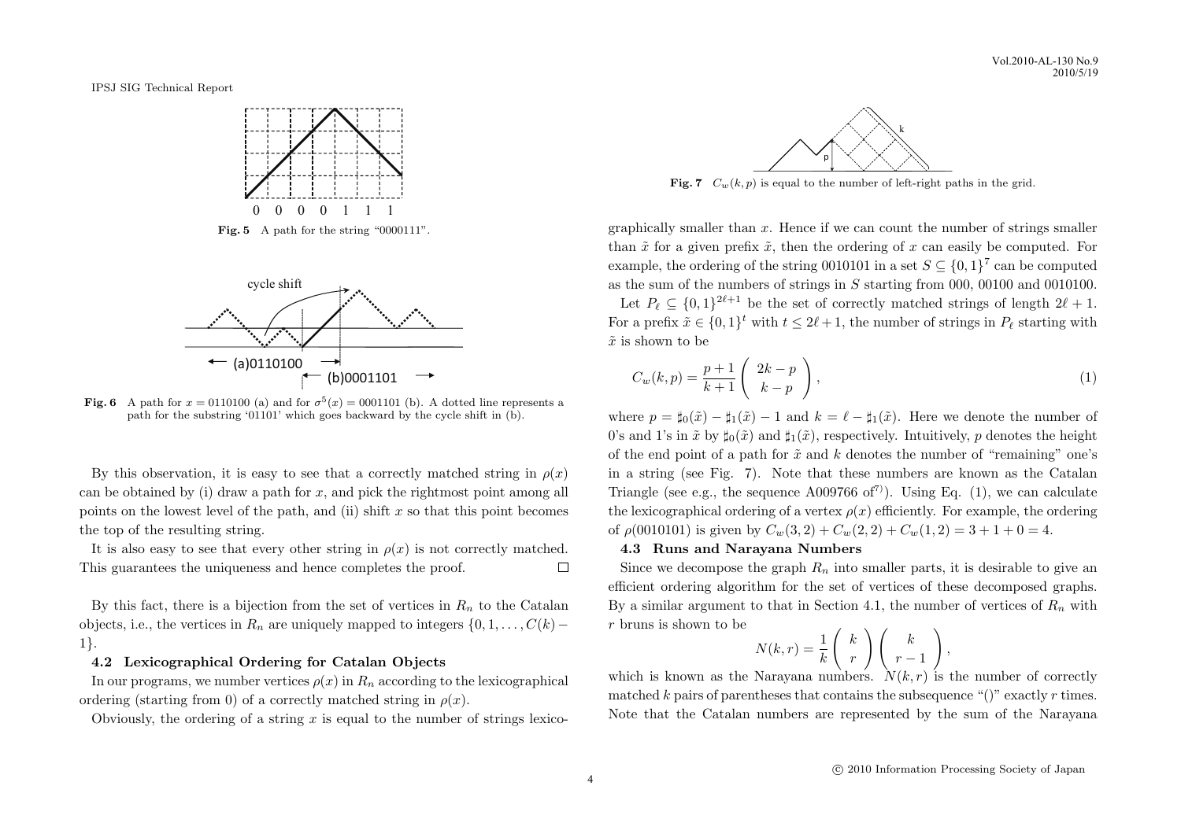Vol.2010-AL-130 No.9 2010/5/19

IPSJ SIG Technical Report



Fig. 5 A path for the string "0000111".



**Fig. 6** A path for  $x = 0110100$  (a) and for  $\sigma^5(x) = 0001101$  (b). A dotted line represents a path for the substring '01101' which goes backward by the cycle shift in (b).

By this observation, it is easy to see that a correctly matched string in  $\rho(x)$ can be obtained by (i) draw a path for *x*, and pick the rightmost point among all points on the lowest level of the path, and (ii) shift *x* so that this point becomes the top of the resulting string.

It is also easy to see that every other string in  $\rho(x)$  is not correctly matched. This guarantees the uniqueness and hence completes the proof.  $\Box$ 

By this fact, there is a bijection from the set of vertices in  $R_n$  to the Catalan objects, i.e., the vertices in  $R_n$  are uniquely mapped to integers  $\{0, 1, \ldots, C(k)$ 1*}*.

### **4.2 Lexicographical Ordering for Catalan Objects**

In our programs, we number vertices  $\rho(x)$  in  $R_n$  according to the lexicographical ordering (starting from 0) of a correctly matched string in  $\rho(x)$ .

Obviously, the ordering of a string *x* is equal to the number of strings lexico-



**Fig. 7**  $C_w(k, p)$  is equal to the number of left-right paths in the grid.

graphically smaller than *x*. Hence if we can count the number of strings smaller than  $\tilde{x}$  for a given prefix  $\tilde{x}$ , then the ordering of x can easily be computed. For example, the ordering of the string 0010101 in a set  $S \subseteq \{0,1\}^7$  can be computed as the sum of the numbers of strings in *S* starting from 000, 00100 and 0010100. Let  $P_\ell \subseteq \{0,1\}^{2\ell+1}$  be the set of correctly matched strings of length  $2\ell+1$ .

For a prefix  $\tilde{x} \in \{0,1\}^t$  with  $t \leq 2\ell + 1$ , the number of strings in  $P_\ell$  starting with  $\tilde{x}$  is shown to be

$$
C_w(k,p) = \frac{p+1}{k+1} \left( \begin{array}{c} 2k-p \\ k-p \end{array} \right),\tag{1}
$$

where  $p = \sharp_0(\tilde{x}) - \sharp_1(\tilde{x}) - 1$  and  $k = \ell - \sharp_1(\tilde{x})$ . Here we denote the number of 0's and 1's in  $\tilde{x}$  by  $\sharp_0(\tilde{x})$  and  $\sharp_1(\tilde{x})$ , respectively. Intuitively, *p* denotes the height of the end point of a path for ˜*x* and *k* denotes the number of "remaining" one's in a string (see Fig. 7). Note that these numbers are known as the Catalan Triangle (see e.g., the sequence A009766 of<sup>7)</sup>). Using Eq. (1), we can calculate the lexicographical ordering of a vertex  $\rho(x)$  efficiently. For example, the ordering of  $\rho(0010101)$  is given by  $C_w(3,2) + C_w(2,2) + C_w(1,2) = 3 + 1 + 0 = 4$ .

## **4.3 Runs and Narayana Numbers**

Since we decompose the graph  $R_n$  into smaller parts, it is desirable to give an efficient ordering algorithm for the set of vertices of these decomposed graphs. By a similar argument to that in Section 4.1, the number of vertices of  $R_n$  with *r* bruns is shown to be

$$
N(k,r) = \frac{1}{k} \begin{pmatrix} k \\ r \end{pmatrix} \begin{pmatrix} k \\ r-1 \end{pmatrix},
$$

which is known as the Narayana numbers.  $N(k, r)$  is the number of correctly matched  $k$  pairs of parentheses that contains the subsequence " $()$ " exactly  $r$  times. Note that the Catalan numbers are represented by the sum of the Narayana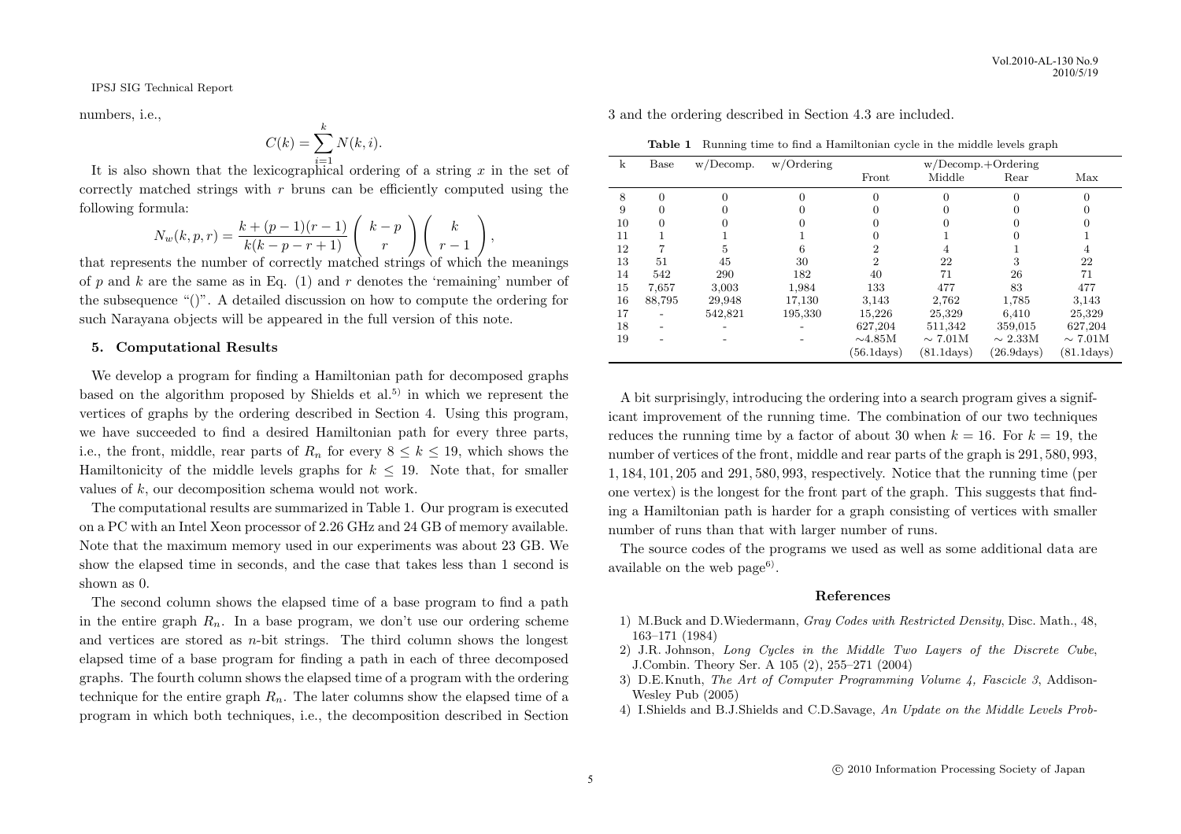numbers, i.e.,

$$
C(k) = \sum_{i=1}^{k} N(k, i).
$$

It is also shown that the lexicographical ordering of a string *x* in the set of correctly matched strings with *r* bruns can be efficiently computed using the following formula: ) ( *<sup>k</sup>*

$$
N_w(k, p, r) = \frac{k + (p - 1)(r - 1)}{k(k - p - r + 1)} \begin{pmatrix} k - p \\ r \end{pmatrix} \begin{pmatrix} k \\ r - 1 \end{pmatrix},
$$

that represents the number of correctly matched strings of which the meanings of  $p$  and  $k$  are the same as in Eq. (1) and  $r$  denotes the 'remaining' number of the subsequence "()". A detailed discussion on how to compute the ordering for such Narayana objects will be appeared in the full version of this note.

## **5. Computational Results**

We develop a program for finding a Hamiltonian path for decomposed graphs based on the algorithm proposed by Shields et al.<sup>5)</sup> in which we represent the vertices of graphs by the ordering described in Section 4. Using this program, we have succeeded to find a desired Hamiltonian path for every three parts, i.e., the front, middle, rear parts of  $R_n$  for every  $8 \leq k \leq 19$ , which shows the Hamiltonicity of the middle levels graphs for  $k \leq 19$ . Note that, for smaller values of *k*, our decomposition schema would not work.

The computational results are summarized in Table 1. Our program is executed on a PC with an Intel Xeon processor of 2*.*26 GHz and 24 GB of memory available. Note that the maximum memory used in our experiments was about 23 GB. We show the elapsed time in seconds, and the case that takes less than 1 second is shown as 0.

The second column shows the elapsed time of a base program to find a path in the entire graph  $R_n$ . In a base program, we don't use our ordering scheme and vertices are stored as *n*-bit strings. The third column shows the longest elapsed time of a base program for finding a path in each of three decomposed graphs. The fourth column shows the elapsed time of a program with the ordering technique for the entire graph  $R_n$ . The later columns show the elapsed time of a program in which both techniques, i.e., the decomposition described in Section

3 and the ordering described in Section 4.3 are included.

**Table 1** Running time to find a Hamiltonian cycle in the middle levels graph

| k  | Base     | w/Decomp. | $w/O$ rdering | $w/Decomp.+Ordering$ |              |              |                      |
|----|----------|-----------|---------------|----------------------|--------------|--------------|----------------------|
|    |          |           |               | Front                | Middle       | Rear         | Max                  |
| 8  | $\Omega$ | $\Omega$  |               | $\Omega$             | 0            |              |                      |
| 9  | 0        |           |               | $\Omega$             |              |              |                      |
| 10 | 0        |           |               |                      |              |              |                      |
| 11 |          |           |               |                      |              |              |                      |
| 12 |          | 5         | 6             | 2                    |              |              | 4                    |
| 13 | 51       | 45        | 30            | 2                    | 22           | 3            | 22                   |
| 14 | 542      | 290       | 182           | 40                   | 71           | 26           | 71                   |
| 15 | 7,657    | 3,003     | 1,984         | 133                  | 477          | 83           | 477                  |
| 16 | 88,795   | 29,948    | 17,130        | 3,143                | 2,762        | 1,785        | 3,143                |
| 17 |          | 542,821   | 195,330       | 15,226               | 25,329       | 6,410        | 25,329               |
| 18 |          |           |               | 627,204              | 511,342      | 359,015      | 627,204              |
| 19 |          |           |               | $\sim$ 4.85M         | $\sim 7.01M$ | $\sim 2.33M$ | $\sim 7.01M$         |
|    |          |           |               | $(56.1 \text{days})$ | (81.1davs)   | (26.9davs)   | $(81.1 \text{days})$ |

A bit surprisingly, introducing the ordering into a search program gives a significant improvement of the running time. The combination of our two techniques reduces the running time by a factor of about 30 when  $k = 16$ . For  $k = 19$ , the number of vertices of the front, middle and rear parts of the graph is 291*,* 580*,* 993, 1*,* 184*,* 101*,* 205 and 291*,* 580*,* 993, respectively. Notice that the running time (per one vertex) is the longest for the front part of the graph. This suggests that finding a Hamiltonian path is harder for a graph consisting of vertices with smaller number of runs than that with larger number of runs.

The source codes of the programs we used as well as some additional data are available on the web page<sup>6)</sup>.

## **References**

- 1) M.Buck and D.Wiedermann, *Gray Codes with Restricted Density*, Disc. Math., 48, 163–171 (1984)
- 2) J.R. Johnson, *Long Cycles in the Middle Two Layers of the Discrete Cube*, J.Combin. Theory Ser. A 105 (2), 255–271 (2004)
- 3) D.E.Knuth, *The Art of Computer Programming Volume 4, Fascicle 3*, Addison-Wesley Pub (2005)
- 4) I.Shields and B.J.Shields and C.D.Savage, *An Update on the Middle Levels Prob-*